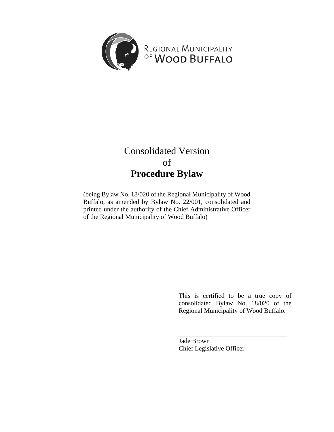

## Consolidated Version of **Procedure Bylaw**

(being Bylaw No. 18/020 of the Regional Municipality of Wood Buffalo, as amended by Bylaw No. 22/001, consolidated and printed under the authority of the Chief Administrative Officer of the Regional Municipality of Wood Buffalo)

> This is certified to be a true copy of consolidated Bylaw No. 18/020 of the Regional Municipality of Wood Buffalo.

\_\_\_\_\_\_\_\_\_\_\_\_\_\_\_\_\_\_\_\_\_\_\_\_\_\_\_\_\_\_\_\_\_

Jade Brown Chief Legislative Officer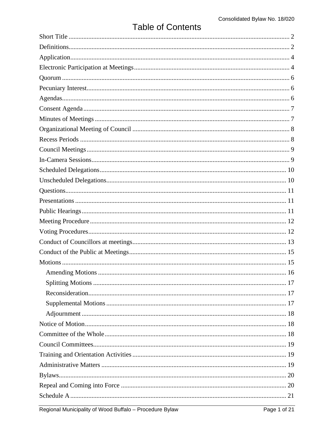# **Table of Contents**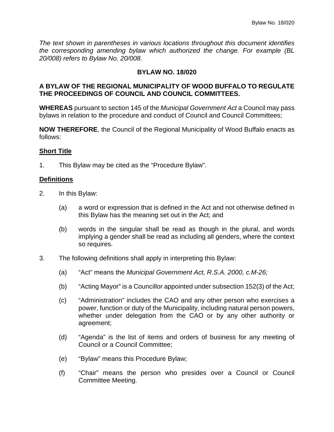*The text shown in parentheses in various locations throughout this document identifies the corresponding amending bylaw which authorized the change. For example (BL 20/008) refers to Bylaw No. 20/008.*

## **BYLAW NO. 18/020**

## **A BYLAW OF THE REGIONAL MUNICIPALITY OF WOOD BUFFALO TO REGULATE THE PROCEEDINGS OF COUNCIL AND COUNCIL COMMITTEES.**

**WHEREAS** pursuant to section 145 of the *Municipal Government Act* a Council may pass bylaws in relation to the procedure and conduct of Council and Council Committees;

**NOW THEREFORE**, the Council of the Regional Municipality of Wood Buffalo enacts as follows:

## <span id="page-2-0"></span>**Short Title**

1. This Bylaw may be cited as the "Procedure Bylaw".

## <span id="page-2-1"></span>**Definitions**

- 2. In this Bylaw:
	- (a) a word or expression that is defined in the Act and not otherwise defined in this Bylaw has the meaning set out in the Act; and
	- (b) words in the singular shall be read as though in the plural, and words implying a gender shall be read as including all genders, where the context so requires.
- 3. The following definitions shall apply in interpreting this Bylaw:
	- (a) "Act" means the *Municipal Government Act, R.S.A. 2000, c.M-26;*
	- (b) "Acting Mayor" is a Councillor appointed under subsection 152(3) of the Act;
	- (c) "Administration" includes the CAO and any other person who exercises a power, function or duty of the Municipality, including natural person powers, whether under delegation from the CAO or by any other authority or agreement;
	- (d) "Agenda" is the list of items and orders of business for any meeting of Council or a Council Committee;
	- (e) "Bylaw" means this Procedure Bylaw;
	- (f) "Chair" means the person who presides over a Council or Council Committee Meeting.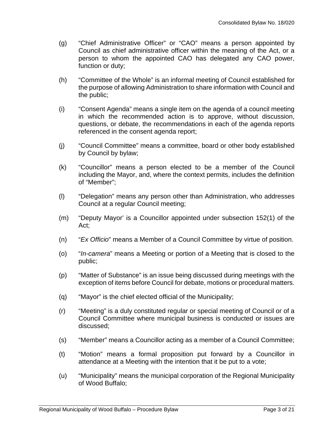- (g) "Chief Administrative Officer" or "CAO" means a person appointed by Council as chief administrative officer within the meaning of the Act, or a person to whom the appointed CAO has delegated any CAO power, function or duty;
- (h) "Committee of the Whole" is an informal meeting of Council established for the purpose of allowing Administration to share information with Council and the public;
- (i) "Consent Agenda" means a single item on the agenda of a council meeting in which the recommended action is to approve, without discussion, questions, or debate, the recommendations in each of the agenda reports referenced in the consent agenda report;
- (j) "Council Committee" means a committee, board or other body established by Council by bylaw;
- (k) "Councillor" means a person elected to be a member of the Council including the Mayor, and, where the context permits, includes the definition of "Member";
- (l) "Delegation" means any person other than Administration, who addresses Council at a regular Council meeting;
- (m) "Deputy Mayor' is a Councillor appointed under subsection 152(1) of the Act;
- (n) "*Ex Officio*" means a Member of a Council Committee by virtue of position.
- (o) "*In-camera*" means a Meeting or portion of a Meeting that is closed to the public;
- (p) "Matter of Substance" is an issue being discussed during meetings with the exception of items before Council for debate, motions or procedural matters.
- (q) "Mayor" is the chief elected official of the Municipality;
- (r) "Meeting" is a duly constituted regular or special meeting of Council or of a Council Committee where municipal business is conducted or issues are discussed;
- (s) "Member" means a Councillor acting as a member of a Council Committee;
- (t) "Motion" means a formal proposition put forward by a Councillor in attendance at a Meeting with the intention that it be put to a vote;
- (u) "Municipality" means the municipal corporation of the Regional Municipality of Wood Buffalo;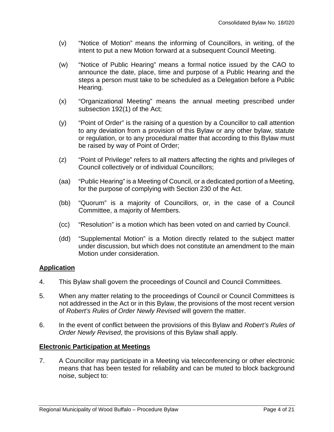- (v) "Notice of Motion" means the informing of Councillors, in writing, of the intent to put a new Motion forward at a subsequent Council Meeting.
- (w) "Notice of Public Hearing" means a formal notice issued by the CAO to announce the date, place, time and purpose of a Public Hearing and the steps a person must take to be scheduled as a Delegation before a Public Hearing.
- (x) "Organizational Meeting" means the annual meeting prescribed under subsection 192(1) of the Act;
- (y) "Point of Order" is the raising of a question by a Councillor to call attention to any deviation from a provision of this Bylaw or any other bylaw, statute or regulation, or to any procedural matter that according to this Bylaw must be raised by way of Point of Order;
- (z) "Point of Privilege" refers to all matters affecting the rights and privileges of Council collectively or of individual Councillors;
- (aa) "Public Hearing" is a Meeting of Council, or a dedicated portion of a Meeting, for the purpose of complying with Section 230 of the Act.
- (bb) "Quorum" is a majority of Councillors, or, in the case of a Council Committee, a majority of Members.
- (cc) "Resolution" is a motion which has been voted on and carried by Council.
- (dd) "Supplemental Motion" is a Motion directly related to the subject matter under discussion, but which does not constitute an amendment to the main Motion under consideration.

## <span id="page-4-0"></span>**Application**

- 4. This Bylaw shall govern the proceedings of Council and Council Committees.
- 5. When any matter relating to the proceedings of Council or Council Committees is not addressed in the Act or in this Bylaw, the provisions of the most recent version of *Robert's Rules of Order Newly Revised* will govern the matter.
- 6. In the event of conflict between the provisions of this Bylaw and *Robert's Rules of Order Newly Revised*, the provisions of this Bylaw shall apply.

## <span id="page-4-1"></span>**Electronic Participation at Meetings**

7. A Councillor may participate in a Meeting via teleconferencing or other electronic means that has been tested for reliability and can be muted to block background noise, subject to: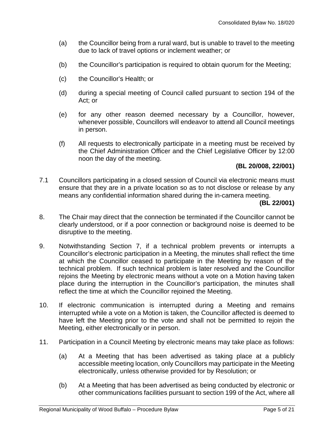- (a) the Councillor being from a rural ward, but is unable to travel to the meeting due to lack of travel options or inclement weather; or
- (b) the Councillor's participation is required to obtain quorum for the Meeting;
- (c) the Councillor's Health; or
- (d) during a special meeting of Council called pursuant to section 194 of the Act; or
- (e) for any other reason deemed necessary by a Councillor, however, whenever possible, Councillors will endeavor to attend all Council meetings in person.
- (f) All requests to electronically participate in a meeting must be received by the Chief Administration Officer and the Chief Legislative Officer by 12:00 noon the day of the meeting.

## **(BL 20/008, 22/001)**

7.1 Councillors participating in a closed session of Council via electronic means must ensure that they are in a private location so as to not disclose or release by any means any confidential information shared during the in-camera meeting.

## **(BL 22/001)**

- 8. The Chair may direct that the connection be terminated if the Councillor cannot be clearly understood, or if a poor connection or background noise is deemed to be disruptive to the meeting.
- 9. Notwithstanding Section 7, if a technical problem prevents or interrupts a Councillor's electronic participation in a Meeting, the minutes shall reflect the time at which the Councillor ceased to participate in the Meeting by reason of the technical problem. If such technical problem is later resolved and the Councillor rejoins the Meeting by electronic means without a vote on a Motion having taken place during the interruption in the Councillor's participation, the minutes shall reflect the time at which the Councillor rejoined the Meeting.
- 10. If electronic communication is interrupted during a Meeting and remains interrupted while a vote on a Motion is taken, the Councillor affected is deemed to have left the Meeting prior to the vote and shall not be permitted to rejoin the Meeting, either electronically or in person.
- 11. Participation in a Council Meeting by electronic means may take place as follows:
	- (a) At a Meeting that has been advertised as taking place at a publicly accessible meeting location, only Councillors may participate in the Meeting electronically, unless otherwise provided for by Resolution; or
	- (b) At a Meeting that has been advertised as being conducted by electronic or other communications facilities pursuant to section 199 of the Act, where all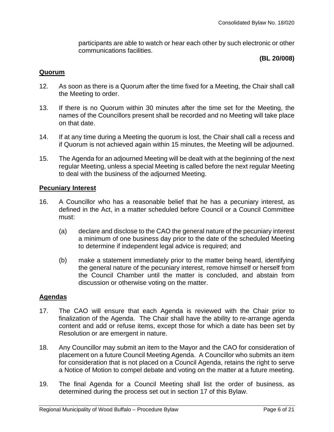participants are able to watch or hear each other by such electronic or other communications facilities.

## **(BL 20/008)**

#### <span id="page-6-0"></span>**Quorum**

- 12. As soon as there is a Quorum after the time fixed for a Meeting, the Chair shall call the Meeting to order.
- 13. If there is no Quorum within 30 minutes after the time set for the Meeting, the names of the Councillors present shall be recorded and no Meeting will take place on that date.
- 14. If at any time during a Meeting the quorum is lost, the Chair shall call a recess and if Quorum is not achieved again within 15 minutes, the Meeting will be adjourned.
- 15. The Agenda for an adjourned Meeting will be dealt with at the beginning of the next regular Meeting, unless a special Meeting is called before the next regular Meeting to deal with the business of the adjourned Meeting.

#### <span id="page-6-1"></span>**Pecuniary Interest**

- 16. A Councillor who has a reasonable belief that he has a pecuniary interest, as defined in the Act, in a matter scheduled before Council or a Council Committee must:
	- (a) declare and disclose to the CAO the general nature of the pecuniary interest a minimum of one business day prior to the date of the scheduled Meeting to determine if independent legal advice is required; and
	- (b) make a statement immediately prior to the matter being heard, identifying the general nature of the pecuniary interest, remove himself or herself from the Council Chamber until the matter is concluded, and abstain from discussion or otherwise voting on the matter.

## <span id="page-6-2"></span>**Agendas**

- 17. The CAO will ensure that each Agenda is reviewed with the Chair prior to finalization of the Agenda. The Chair shall have the ability to re-arrange agenda content and add or refuse items, except those for which a date has been set by Resolution or are emergent in nature.
- 18. Any Councillor may submit an item to the Mayor and the CAO for consideration of placement on a future Council Meeting Agenda. A Councillor who submits an item for consideration that is not placed on a Council Agenda, retains the right to serve a Notice of Motion to compel debate and voting on the matter at a future meeting.
- 19. The final Agenda for a Council Meeting shall list the order of business, as determined during the process set out in section 17 of this Bylaw.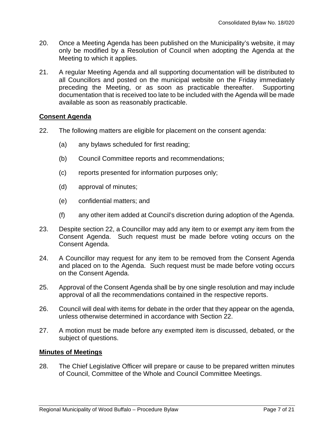- 20. Once a Meeting Agenda has been published on the Municipality's website, it may only be modified by a Resolution of Council when adopting the Agenda at the Meeting to which it applies.
- 21. A regular Meeting Agenda and all supporting documentation will be distributed to all Councillors and posted on the municipal website on the Friday immediately preceding the Meeting, or as soon as practicable thereafter. Supporting documentation that is received too late to be included with the Agenda will be made available as soon as reasonably practicable.

## <span id="page-7-0"></span>**Consent Agenda**

- 22. The following matters are eligible for placement on the consent agenda:
	- (a) any bylaws scheduled for first reading;
	- (b) Council Committee reports and recommendations;
	- (c) reports presented for information purposes only;
	- (d) approval of minutes;
	- (e) confidential matters; and
	- (f) any other item added at Council's discretion during adoption of the Agenda.
- 23. Despite section 22, a Councillor may add any item to or exempt any item from the Consent Agenda. Such request must be made before voting occurs on the Consent Agenda.
- 24. A Councillor may request for any item to be removed from the Consent Agenda and placed on to the Agenda. Such request must be made before voting occurs on the Consent Agenda.
- 25. Approval of the Consent Agenda shall be by one single resolution and may include approval of all the recommendations contained in the respective reports.
- 26. Council will deal with items for debate in the order that they appear on the agenda, unless otherwise determined in accordance with Section 22.
- 27. A motion must be made before any exempted item is discussed, debated, or the subject of questions.

#### <span id="page-7-1"></span>**Minutes of Meetings**

28. The Chief Legislative Officer will prepare or cause to be prepared written minutes of Council, Committee of the Whole and Council Committee Meetings.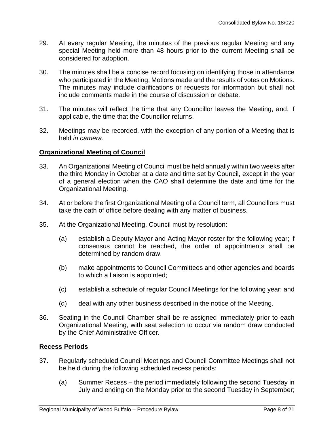- 29. At every regular Meeting, the minutes of the previous regular Meeting and any special Meeting held more than 48 hours prior to the current Meeting shall be considered for adoption.
- 30. The minutes shall be a concise record focusing on identifying those in attendance who participated in the Meeting, Motions made and the results of votes on Motions. The minutes may include clarifications or requests for information but shall not include comments made in the course of discussion or debate.
- 31. The minutes will reflect the time that any Councillor leaves the Meeting, and, if applicable, the time that the Councillor returns.
- 32. Meetings may be recorded, with the exception of any portion of a Meeting that is held *in camera*.

## <span id="page-8-0"></span>**Organizational Meeting of Council**

- 33. An Organizational Meeting of Council must be held annually within two weeks after the third Monday in October at a date and time set by Council, except in the year of a general election when the CAO shall determine the date and time for the Organizational Meeting.
- 34. At or before the first Organizational Meeting of a Council term, all Councillors must take the oath of office before dealing with any matter of business.
- 35. At the Organizational Meeting, Council must by resolution:
	- (a) establish a Deputy Mayor and Acting Mayor roster for the following year; if consensus cannot be reached, the order of appointments shall be determined by random draw.
	- (b) make appointments to Council Committees and other agencies and boards to which a liaison is appointed;
	- (c) establish a schedule of regular Council Meetings for the following year; and
	- (d) deal with any other business described in the notice of the Meeting.
- 36. Seating in the Council Chamber shall be re-assigned immediately prior to each Organizational Meeting, with seat selection to occur via random draw conducted by the Chief Administrative Officer.

## <span id="page-8-1"></span>**Recess Periods**

- 37. Regularly scheduled Council Meetings and Council Committee Meetings shall not be held during the following scheduled recess periods:
	- (a) Summer Recess the period immediately following the second Tuesday in July and ending on the Monday prior to the second Tuesday in September;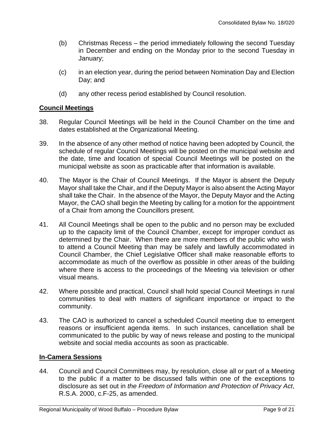- (b) Christmas Recess the period immediately following the second Tuesday in December and ending on the Monday prior to the second Tuesday in January;
- (c) in an election year, during the period between Nomination Day and Election Day; and
- (d) any other recess period established by Council resolution.

## <span id="page-9-0"></span>**Council Meetings**

- 38. Regular Council Meetings will be held in the Council Chamber on the time and dates established at the Organizational Meeting.
- 39. In the absence of any other method of notice having been adopted by Council, the schedule of regular Council Meetings will be posted on the municipal website and the date, time and location of special Council Meetings will be posted on the municipal website as soon as practicable after that information is available.
- 40. The Mayor is the Chair of Council Meetings. If the Mayor is absent the Deputy Mayor shall take the Chair, and if the Deputy Mayor is also absent the Acting Mayor shall take the Chair. In the absence of the Mayor, the Deputy Mayor and the Acting Mayor, the CAO shall begin the Meeting by calling for a motion for the appointment of a Chair from among the Councillors present.
- 41. All Council Meetings shall be open to the public and no person may be excluded up to the capacity limit of the Council Chamber, except for improper conduct as determined by the Chair. When there are more members of the public who wish to attend a Council Meeting than may be safely and lawfully accommodated in Council Chamber, the Chief Legislative Officer shall make reasonable efforts to accommodate as much of the overflow as possible in other areas of the building where there is access to the proceedings of the Meeting via television or other visual means.
- 42. Where possible and practical, Council shall hold special Council Meetings in rural communities to deal with matters of significant importance or impact to the community.
- 43. The CAO is authorized to cancel a scheduled Council meeting due to emergent reasons or insufficient agenda items. In such instances, cancellation shall be communicated to the public by way of news release and posting to the municipal website and social media accounts as soon as practicable.

## <span id="page-9-1"></span>**In-Camera Sessions**

44. Council and Council Committees may, by resolution, close all or part of a Meeting to the public if a matter to be discussed falls within one of the exceptions to disclosure as set out in *the Freedom of Information and Protection of Privacy Act*, R.S.A. 2000, c.F-25, as amended.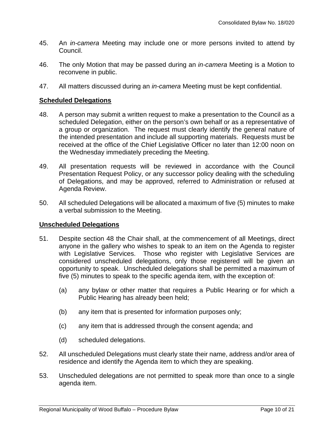- 45. An *in-camera* Meeting may include one or more persons invited to attend by Council.
- 46. The only Motion that may be passed during an *in-camera* Meeting is a Motion to reconvene in public.
- 47. All matters discussed during an *in-camera* Meeting must be kept confidential.

#### <span id="page-10-0"></span>**Scheduled Delegations**

- 48. A person may submit a written request to make a presentation to the Council as a scheduled Delegation, either on the person's own behalf or as a representative of a group or organization. The request must clearly identify the general nature of the intended presentation and include all supporting materials. Requests must be received at the office of the Chief Legislative Officer no later than 12:00 noon on the Wednesday immediately preceding the Meeting.
- 49. All presentation requests will be reviewed in accordance with the Council Presentation Request Policy, or any successor policy dealing with the scheduling of Delegations, and may be approved, referred to Administration or refused at Agenda Review.
- 50. All scheduled Delegations will be allocated a maximum of five (5) minutes to make a verbal submission to the Meeting.

#### <span id="page-10-1"></span>**Unscheduled Delegations**

- 51. Despite section 48 the Chair shall, at the commencement of all Meetings, direct anyone in the gallery who wishes to speak to an item on the Agenda to register with Legislative Services. Those who register with Legislative Services are considered unscheduled delegations, only those registered will be given an opportunity to speak. Unscheduled delegations shall be permitted a maximum of five (5) minutes to speak to the specific agenda item, with the exception of:
	- (a) any bylaw or other matter that requires a Public Hearing or for which a Public Hearing has already been held;
	- (b) any item that is presented for information purposes only;
	- (c) any item that is addressed through the consent agenda; and
	- (d) scheduled delegations.
- 52. All unscheduled Delegations must clearly state their name, address and/or area of residence and identify the Agenda item to which they are speaking.
- 53. Unscheduled delegations are not permitted to speak more than once to a single agenda item.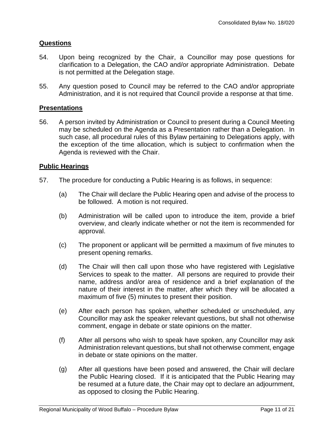## <span id="page-11-0"></span>**Questions**

- 54. Upon being recognized by the Chair, a Councillor may pose questions for clarification to a Delegation, the CAO and/or appropriate Administration. Debate is not permitted at the Delegation stage.
- 55. Any question posed to Council may be referred to the CAO and/or appropriate Administration, and it is not required that Council provide a response at that time.

## <span id="page-11-1"></span>**Presentations**

56. A person invited by Administration or Council to present during a Council Meeting may be scheduled on the Agenda as a Presentation rather than a Delegation. In such case, all procedural rules of this Bylaw pertaining to Delegations apply, with the exception of the time allocation, which is subject to confirmation when the Agenda is reviewed with the Chair.

## <span id="page-11-2"></span>**Public Hearings**

- 57. The procedure for conducting a Public Hearing is as follows, in sequence:
	- (a) The Chair will declare the Public Hearing open and advise of the process to be followed. A motion is not required.
	- (b) Administration will be called upon to introduce the item, provide a brief overview, and clearly indicate whether or not the item is recommended for approval.
	- (c) The proponent or applicant will be permitted a maximum of five minutes to present opening remarks.
	- (d) The Chair will then call upon those who have registered with Legislative Services to speak to the matter. All persons are required to provide their name, address and/or area of residence and a brief explanation of the nature of their interest in the matter, after which they will be allocated a maximum of five (5) minutes to present their position.
	- (e) After each person has spoken, whether scheduled or unscheduled, any Councillor may ask the speaker relevant questions, but shall not otherwise comment, engage in debate or state opinions on the matter.
	- (f) After all persons who wish to speak have spoken, any Councillor may ask Administration relevant questions, but shall not otherwise comment, engage in debate or state opinions on the matter.
	- (g) After all questions have been posed and answered, the Chair will declare the Public Hearing closed. If it is anticipated that the Public Hearing may be resumed at a future date, the Chair may opt to declare an adjournment, as opposed to closing the Public Hearing.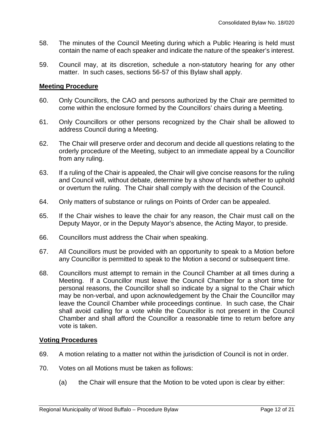- 58. The minutes of the Council Meeting during which a Public Hearing is held must contain the name of each speaker and indicate the nature of the speaker's interest.
- 59. Council may, at its discretion, schedule a non-statutory hearing for any other matter. In such cases, sections 56-57 of this Bylaw shall apply.

#### <span id="page-12-0"></span>**Meeting Procedure**

- 60. Only Councillors, the CAO and persons authorized by the Chair are permitted to come within the enclosure formed by the Councillors' chairs during a Meeting.
- 61. Only Councillors or other persons recognized by the Chair shall be allowed to address Council during a Meeting.
- 62. The Chair will preserve order and decorum and decide all questions relating to the orderly procedure of the Meeting, subject to an immediate appeal by a Councillor from any ruling.
- 63. If a ruling of the Chair is appealed, the Chair will give concise reasons for the ruling and Council will, without debate, determine by a show of hands whether to uphold or overturn the ruling. The Chair shall comply with the decision of the Council.
- 64. Only matters of substance or rulings on Points of Order can be appealed.
- 65. If the Chair wishes to leave the chair for any reason, the Chair must call on the Deputy Mayor, or in the Deputy Mayor's absence, the Acting Mayor, to preside.
- 66. Councillors must address the Chair when speaking.
- 67. All Councillors must be provided with an opportunity to speak to a Motion before any Councillor is permitted to speak to the Motion a second or subsequent time.
- 68. Councillors must attempt to remain in the Council Chamber at all times during a Meeting. If a Councillor must leave the Council Chamber for a short time for personal reasons, the Councillor shall so indicate by a signal to the Chair which may be non-verbal, and upon acknowledgement by the Chair the Councillor may leave the Council Chamber while proceedings continue. In such case, the Chair shall avoid calling for a vote while the Councillor is not present in the Council Chamber and shall afford the Councillor a reasonable time to return before any vote is taken.

#### <span id="page-12-1"></span>**Voting Procedures**

- 69. A motion relating to a matter not within the jurisdiction of Council is not in order.
- 70. Votes on all Motions must be taken as follows:
	- (a) the Chair will ensure that the Motion to be voted upon is clear by either: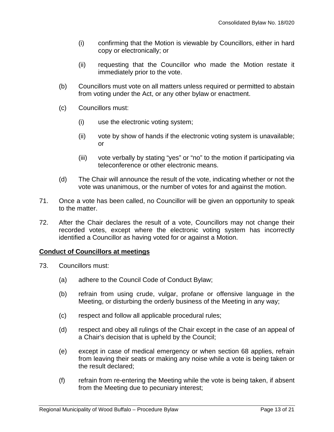- (i) confirming that the Motion is viewable by Councillors, either in hard copy or electronically; or
- (ii) requesting that the Councillor who made the Motion restate it immediately prior to the vote.
- (b) Councillors must vote on all matters unless required or permitted to abstain from voting under the Act, or any other bylaw or enactment.
- (c) Councillors must:
	- (i) use the electronic voting system;
	- (ii) vote by show of hands if the electronic voting system is unavailable; or
	- (iii) vote verbally by stating "yes" or "no" to the motion if participating via teleconference or other electronic means.
- (d) The Chair will announce the result of the vote, indicating whether or not the vote was unanimous, or the number of votes for and against the motion.
- 71. Once a vote has been called, no Councillor will be given an opportunity to speak to the matter.
- 72. After the Chair declares the result of a vote, Councillors may not change their recorded votes, except where the electronic voting system has incorrectly identified a Councillor as having voted for or against a Motion.

## <span id="page-13-0"></span>**Conduct of Councillors at meetings**

- 73. Councillors must:
	- (a) adhere to the Council Code of Conduct Bylaw;
	- (b) refrain from using crude, vulgar, profane or offensive language in the Meeting, or disturbing the orderly business of the Meeting in any way;
	- (c) respect and follow all applicable procedural rules;
	- (d) respect and obey all rulings of the Chair except in the case of an appeal of a Chair's decision that is upheld by the Council;
	- (e) except in case of medical emergency or when section 68 applies, refrain from leaving their seats or making any noise while a vote is being taken or the result declared;
	- (f) refrain from re-entering the Meeting while the vote is being taken, if absent from the Meeting due to pecuniary interest;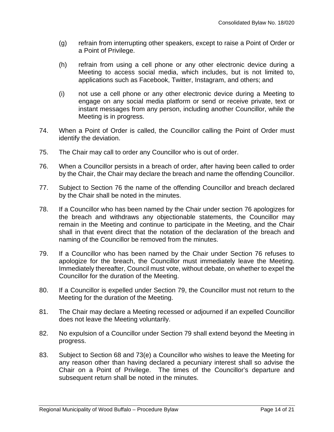- (g) refrain from interrupting other speakers, except to raise a Point of Order or a Point of Privilege.
- (h) refrain from using a cell phone or any other electronic device during a Meeting to access social media, which includes, but is not limited to, applications such as Facebook, Twitter, Instagram, and others; and
- (i) not use a cell phone or any other electronic device during a Meeting to engage on any social media platform or send or receive private, text or instant messages from any person, including another Councillor, while the Meeting is in progress.
- 74. When a Point of Order is called, the Councillor calling the Point of Order must identify the deviation.
- 75. The Chair may call to order any Councillor who is out of order.
- 76. When a Councillor persists in a breach of order, after having been called to order by the Chair, the Chair may declare the breach and name the offending Councillor.
- 77. Subject to Section 76 the name of the offending Councillor and breach declared by the Chair shall be noted in the minutes.
- 78. If a Councillor who has been named by the Chair under section 76 apologizes for the breach and withdraws any objectionable statements, the Councillor may remain in the Meeting and continue to participate in the Meeting, and the Chair shall in that event direct that the notation of the declaration of the breach and naming of the Councillor be removed from the minutes.
- 79. If a Councillor who has been named by the Chair under Section 76 refuses to apologize for the breach, the Councillor must immediately leave the Meeting. Immediately thereafter, Council must vote, without debate, on whether to expel the Councillor for the duration of the Meeting.
- 80. If a Councillor is expelled under Section 79, the Councillor must not return to the Meeting for the duration of the Meeting.
- 81. The Chair may declare a Meeting recessed or adjourned if an expelled Councillor does not leave the Meeting voluntarily.
- 82. No expulsion of a Councillor under Section 79 shall extend beyond the Meeting in progress.
- 83. Subject to Section 68 and 73(e) a Councillor who wishes to leave the Meeting for any reason other than having declared a pecuniary interest shall so advise the Chair on a Point of Privilege. The times of the Councillor's departure and subsequent return shall be noted in the minutes.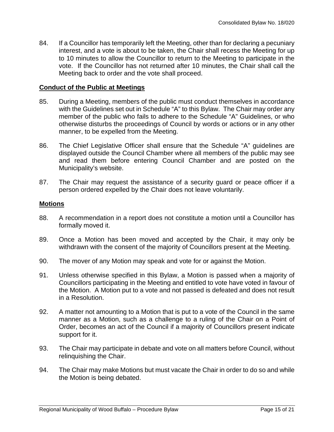84. If a Councillor has temporarily left the Meeting, other than for declaring a pecuniary interest, and a vote is about to be taken, the Chair shall recess the Meeting for up to 10 minutes to allow the Councillor to return to the Meeting to participate in the vote. If the Councillor has not returned after 10 minutes, the Chair shall call the Meeting back to order and the vote shall proceed.

#### <span id="page-15-0"></span>**Conduct of the Public at Meetings**

- 85. During a Meeting, members of the public must conduct themselves in accordance with the Guidelines set out in Schedule "A" to this Bylaw. The Chair may order any member of the public who fails to adhere to the Schedule "A" Guidelines, or who otherwise disturbs the proceedings of Council by words or actions or in any other manner, to be expelled from the Meeting.
- 86. The Chief Legislative Officer shall ensure that the Schedule "A" guidelines are displayed outside the Council Chamber where all members of the public may see and read them before entering Council Chamber and are posted on the Municipality's website.
- 87. The Chair may request the assistance of a security guard or peace officer if a person ordered expelled by the Chair does not leave voluntarily.

#### <span id="page-15-1"></span>**Motions**

- 88. A recommendation in a report does not constitute a motion until a Councillor has formally moved it.
- 89. Once a Motion has been moved and accepted by the Chair, it may only be withdrawn with the consent of the majority of Councillors present at the Meeting.
- 90. The mover of any Motion may speak and vote for or against the Motion.
- 91. Unless otherwise specified in this Bylaw, a Motion is passed when a majority of Councillors participating in the Meeting and entitled to vote have voted in favour of the Motion. A Motion put to a vote and not passed is defeated and does not result in a Resolution.
- 92. A matter not amounting to a Motion that is put to a vote of the Council in the same manner as a Motion, such as a challenge to a ruling of the Chair on a Point of Order, becomes an act of the Council if a majority of Councillors present indicate support for it.
- 93. The Chair may participate in debate and vote on all matters before Council, without relinquishing the Chair.
- 94. The Chair may make Motions but must vacate the Chair in order to do so and while the Motion is being debated.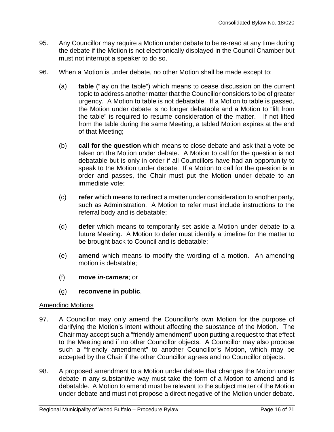- 95. Any Councillor may require a Motion under debate to be re-read at any time during the debate if the Motion is not electronically displayed in the Council Chamber but must not interrupt a speaker to do so.
- 96. When a Motion is under debate, no other Motion shall be made except to:
	- (a) **table** ("lay on the table") which means to cease discussion on the current topic to address another matter that the Councillor considers to be of greater urgency. A Motion to table is not debatable. If a Motion to table is passed, the Motion under debate is no longer debatable and a Motion to "lift from the table" is required to resume consideration of the matter. If not lifted from the table during the same Meeting, a tabled Motion expires at the end of that Meeting;
	- (b) **call for the question** which means to close debate and ask that a vote be taken on the Motion under debate. A Motion to call for the question is not debatable but is only in order if all Councillors have had an opportunity to speak to the Motion under debate. If a Motion to call for the question is in order and passes, the Chair must put the Motion under debate to an immediate vote;
	- (c) **refer** which means to redirect a matter under consideration to another party, such as Administration. A Motion to refer must include instructions to the referral body and is debatable;
	- (d) **defer** which means to temporarily set aside a Motion under debate to a future Meeting. A Motion to defer must identify a timeline for the matter to be brought back to Council and is debatable;
	- (e) **amend** which means to modify the wording of a motion. An amending motion is debatable;
	- (f) **move** *in-camera*; or
	- (g) **reconvene in public**.

## <span id="page-16-0"></span>Amending Motions

- 97. A Councillor may only amend the Councillor's own Motion for the purpose of clarifying the Motion's intent without affecting the substance of the Motion. The Chair may accept such a "friendly amendment" upon putting a request to that effect to the Meeting and if no other Councillor objects. A Councillor may also propose such a "friendly amendment" to another Councillor's Motion, which may be accepted by the Chair if the other Councillor agrees and no Councillor objects.
- 98. A proposed amendment to a Motion under debate that changes the Motion under debate in any substantive way must take the form of a Motion to amend and is debatable. A Motion to amend must be relevant to the subject matter of the Motion under debate and must not propose a direct negative of the Motion under debate.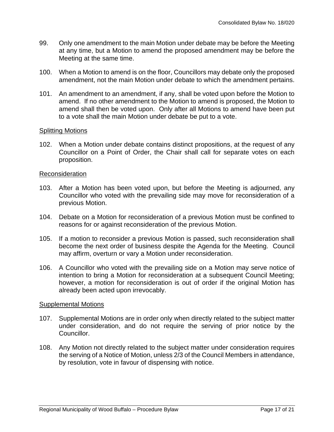- 99. Only one amendment to the main Motion under debate may be before the Meeting at any time, but a Motion to amend the proposed amendment may be before the Meeting at the same time.
- 100. When a Motion to amend is on the floor, Councillors may debate only the proposed amendment, not the main Motion under debate to which the amendment pertains.
- 101. An amendment to an amendment, if any, shall be voted upon before the Motion to amend. If no other amendment to the Motion to amend is proposed, the Motion to amend shall then be voted upon. Only after all Motions to amend have been put to a vote shall the main Motion under debate be put to a vote.

#### <span id="page-17-0"></span>Splitting Motions

102. When a Motion under debate contains distinct propositions, at the request of any Councillor on a Point of Order, the Chair shall call for separate votes on each proposition.

#### <span id="page-17-1"></span>Reconsideration

- 103. After a Motion has been voted upon, but before the Meeting is adjourned, any Councillor who voted with the prevailing side may move for reconsideration of a previous Motion.
- 104. Debate on a Motion for reconsideration of a previous Motion must be confined to reasons for or against reconsideration of the previous Motion.
- 105. If a motion to reconsider a previous Motion is passed, such reconsideration shall become the next order of business despite the Agenda for the Meeting. Council may affirm, overturn or vary a Motion under reconsideration.
- 106. A Councillor who voted with the prevailing side on a Motion may serve notice of intention to bring a Motion for reconsideration at a subsequent Council Meeting; however, a motion for reconsideration is out of order if the original Motion has already been acted upon irrevocably.

#### <span id="page-17-2"></span>Supplemental Motions

- 107. Supplemental Motions are in order only when directly related to the subject matter under consideration, and do not require the serving of prior notice by the Councillor.
- 108. Any Motion not directly related to the subject matter under consideration requires the serving of a Notice of Motion, unless 2/3 of the Council Members in attendance, by resolution, vote in favour of dispensing with notice.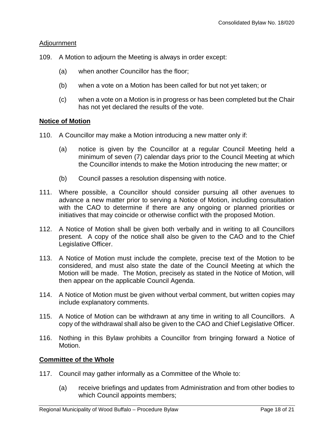## <span id="page-18-0"></span>Adjournment

- 109. A Motion to adjourn the Meeting is always in order except:
	- (a) when another Councillor has the floor;
	- (b) when a vote on a Motion has been called for but not yet taken; or
	- (c) when a vote on a Motion is in progress or has been completed but the Chair has not yet declared the results of the vote.

#### <span id="page-18-1"></span>**Notice of Motion**

- 110. A Councillor may make a Motion introducing a new matter only if:
	- (a) notice is given by the Councillor at a regular Council Meeting held a minimum of seven (7) calendar days prior to the Council Meeting at which the Councillor intends to make the Motion introducing the new matter; or
	- (b) Council passes a resolution dispensing with notice.
- 111. Where possible, a Councillor should consider pursuing all other avenues to advance a new matter prior to serving a Notice of Motion, including consultation with the CAO to determine if there are any ongoing or planned priorities or initiatives that may coincide or otherwise conflict with the proposed Motion.
- 112. A Notice of Motion shall be given both verbally and in writing to all Councillors present. A copy of the notice shall also be given to the CAO and to the Chief Legislative Officer.
- 113. A Notice of Motion must include the complete, precise text of the Motion to be considered, and must also state the date of the Council Meeting at which the Motion will be made. The Motion, precisely as stated in the Notice of Motion, will then appear on the applicable Council Agenda.
- 114. A Notice of Motion must be given without verbal comment, but written copies may include explanatory comments.
- 115. A Notice of Motion can be withdrawn at any time in writing to all Councillors. A copy of the withdrawal shall also be given to the CAO and Chief Legislative Officer.
- 116. Nothing in this Bylaw prohibits a Councillor from bringing forward a Notice of Motion.

#### <span id="page-18-2"></span>**Committee of the Whole**

- 117. Council may gather informally as a Committee of the Whole to:
	- (a) receive briefings and updates from Administration and from other bodies to which Council appoints members;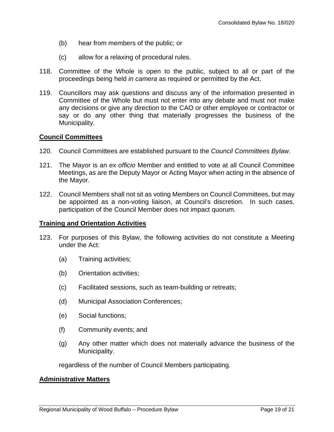- (b) hear from members of the public; or
- (c) allow for a relaxing of procedural rules.
- 118. Committee of the Whole is open to the public, subject to all or part of the proceedings being held *in camera* as required or permitted by the Act.
- 119. Councillors may ask questions and discuss any of the information presented in Committee of the Whole but must not enter into any debate and must not make any decisions or give any direction to the CAO or other employee or contractor or say or do any other thing that materially progresses the business of the Municipality.

#### <span id="page-19-0"></span>**Council Committees**

- 120. Council Committees are established pursuant to the *Council Committees Bylaw*.
- 121. The Mayor is an *ex officio* Member and entitled to vote at all Council Committee Meetings, as are the Deputy Mayor or Acting Mayor when acting in the absence of the Mayor.
- 122. Council Members shall not sit as voting Members on Council Committees, but may be appointed as a non-voting liaison, at Council's discretion. In such cases, participation of the Council Member does not impact quorum.

#### <span id="page-19-1"></span>**Training and Orientation Activities**

- 123. For purposes of this Bylaw, the following activities do not constitute a Meeting under the Act:
	- (a) Training activities;
	- (b) Orientation activities;
	- (c) Facilitated sessions, such as team-building or retreats;
	- (d) Municipal Association Conferences;
	- (e) Social functions;
	- (f) Community events; and
	- (g) Any other matter which does not materially advance the business of the Municipality.

regardless of the number of Council Members participating.

#### <span id="page-19-2"></span>**Administrative Matters**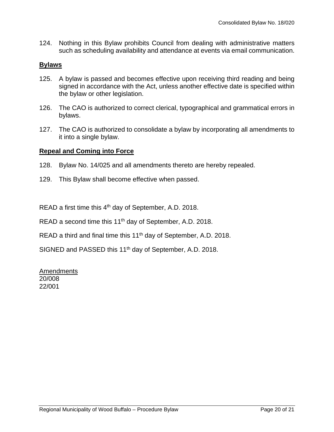124. Nothing in this Bylaw prohibits Council from dealing with administrative matters such as scheduling availability and attendance at events via email communication.

#### <span id="page-20-0"></span>**Bylaws**

- 125. A bylaw is passed and becomes effective upon receiving third reading and being signed in accordance with the Act, unless another effective date is specified within the bylaw or other legislation.
- 126. The CAO is authorized to correct clerical, typographical and grammatical errors in bylaws.
- 127. The CAO is authorized to consolidate a bylaw by incorporating all amendments to it into a single bylaw.

#### <span id="page-20-1"></span>**Repeal and Coming into Force**

- 128. Bylaw No. 14/025 and all amendments thereto are hereby repealed.
- 129. This Bylaw shall become effective when passed.

READ a first time this 4<sup>th</sup> day of September, A.D. 2018.

READ a second time this 11<sup>th</sup> day of September, A.D. 2018.

READ a third and final time this 11<sup>th</sup> day of September, A.D. 2018.

SIGNED and PASSED this 11<sup>th</sup> day of September, A.D. 2018.

Amendments 20/008 22/001